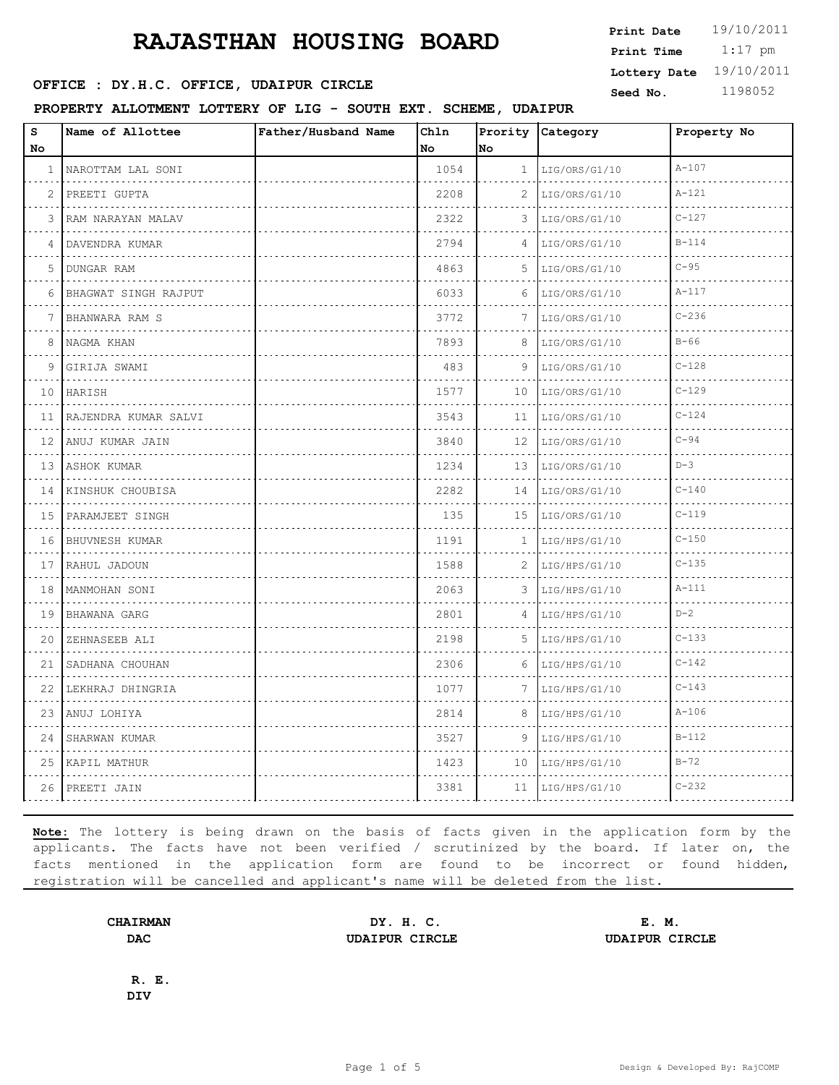### **RAJASTHAN HOUSING BOARD**

**SEED IN SEED ASSESSED SEED ASSESSED ASSESSED ASSESSED ASSESSED ASSESSED ASSESSED ASSESSED ASSESSED ASSESSED ASSESSED ASSESSED ASSESSED ASSESSED ASSESSED ASSESSED ASSESSED ASSESSED ASSESSED ASSESSED ASSESSED ASSESSED ASSES** 

**PROPERTY ALLOTMENT LOTTERY OF LIG - SOUTH EXT. SCHEME, UDAIPUR**

| $\mathtt{s}$               | Name of Allottee     | Father/Husband Name | Chln |                 | Prority Category   | Property No |
|----------------------------|----------------------|---------------------|------|-----------------|--------------------|-------------|
| No                         |                      |                     | No   | No              |                    |             |
| 1                          | NAROTTAM LAL SONI    |                     | 1054 | 1               | LIG/ORS/G1/10      | $A - 107$   |
| 2                          | PREETI GUPTA<br>.    |                     | 2208 | 2               | LIG/ORS/G1/10<br>. | $A - 121$   |
| 3                          | RAM NARAYAN MALAV    |                     | 2322 | 3               | LIG/ORS/G1/10      | $C - 127$   |
| 4                          | DAVENDRA KUMAR<br>.  |                     | 2794 | 4               | LIG/ORS/G1/10      | $B-114$     |
| 5                          | DUNGAR RAM<br>.      |                     | 4863 | 5               | LIG/ORS/G1/10<br>. | $C-95$      |
| 6                          | BHAGWAT SINGH RAJPUT |                     | 6033 | 6               | LIG/ORS/G1/10      | $A-117$     |
| 7                          | BHANWARA RAM S<br>.  |                     | 3772 | 7               | LIG/ORS/G1/10      | $C - 236$   |
| 8                          | NAGMA KHAN           |                     | 7893 | 8               | LIG/ORS/G1/10      | $B-66$      |
| 9                          | GIRIJA SWAMI         |                     | 483  | 9               | LIG/ORS/G1/10      | $C - 128$   |
| 10                         | HARISH               |                     | 1577 | 10              | LIG/ORS/G1/10      | $C - 129$   |
| 11                         | RAJENDRA KUMAR SALVI |                     | 3543 | 11              | LIG/ORS/G1/10      | $C - 124$   |
| 12                         | ANUJ KUMAR JAIN      |                     | 3840 | 12              | LIG/ORS/G1/10      | $C-94$      |
| 13                         | ASHOK KUMAR<br>.     |                     | 1234 | 13              | LIG/ORS/G1/10      | $D-3$       |
| 14                         | KINSHUK CHOUBISA     |                     | 2282 | 14              | LIG/ORS/G1/10      | $C - 140$   |
| 15                         | PARAMJEET SINGH      |                     | 135  | 15              | LIG/ORS/G1/10      | $C-119$     |
| $\sim$ $\sim$ $\sim$<br>16 | BHUVNESH KUMAR<br>.  |                     | 1191 | 1               | LIG/HPS/G1/10      | $C - 150$   |
| 17                         | RAHUL JADOUN         |                     | 1588 | 2               | LIG/HPS/G1/10      | $C - 135$   |
| 18                         | MANMOHAN SONI<br>.   |                     | 2063 | 3               | LIG/HPS/G1/10      | $A - 111$   |
| 19                         | BHAWANA GARG<br>.    |                     | 2801 | 4               | LIG/HPS/G1/10      | $D-2$       |
| 20                         | ZEHNASEEB ALI        |                     | 2198 | 5               | LIG/HPS/G1/10      | $C - 133$   |
| 21                         | SADHANA CHOUHAN<br>. |                     | 2306 | 6               | LIG/HPS/G1/10      | $C - 142$   |
| 22                         | LEKHRAJ DHINGRIA     |                     | 1077 | 7               | LIG/HPS/G1/10      | $C - 143$   |
| 23                         | .<br>ANUJ LOHIYA     |                     | 2814 | 8               | LIG/HPS/G1/10      | $A - 106$   |
| 24                         | SHARWAN KUMAR        |                     | 3527 | 9               | LIG/HPS/G1/10      | $B-112$     |
| 25                         | KAPIL MATHUR         |                     | 1423 | 10 <sup>°</sup> | LIG/HPS/G1/10      | $B-72$      |
| 26                         | PREETI JAIN          |                     | 3381 | 11              | LIG/HPS/G1/10      | $C - 232$   |

**Note:** The lottery is being drawn on the basis of facts given in the application form by the applicants. The facts have not been verified / scrutinized by the board. If later on, the facts mentioned in the application form are found to be incorrect or found hidden, registration will be cancelled and applicant's name will be deleted from the list.

**CHAIRMAN DY. H. C. E. M. DAC UDAIPUR CIRCLE UDAIPUR CIRCLE**

**R. E. DIV**

 1:17 pm **Print Date**  $19/10/2011$ **Print Time Lottery Date** 19/10/2011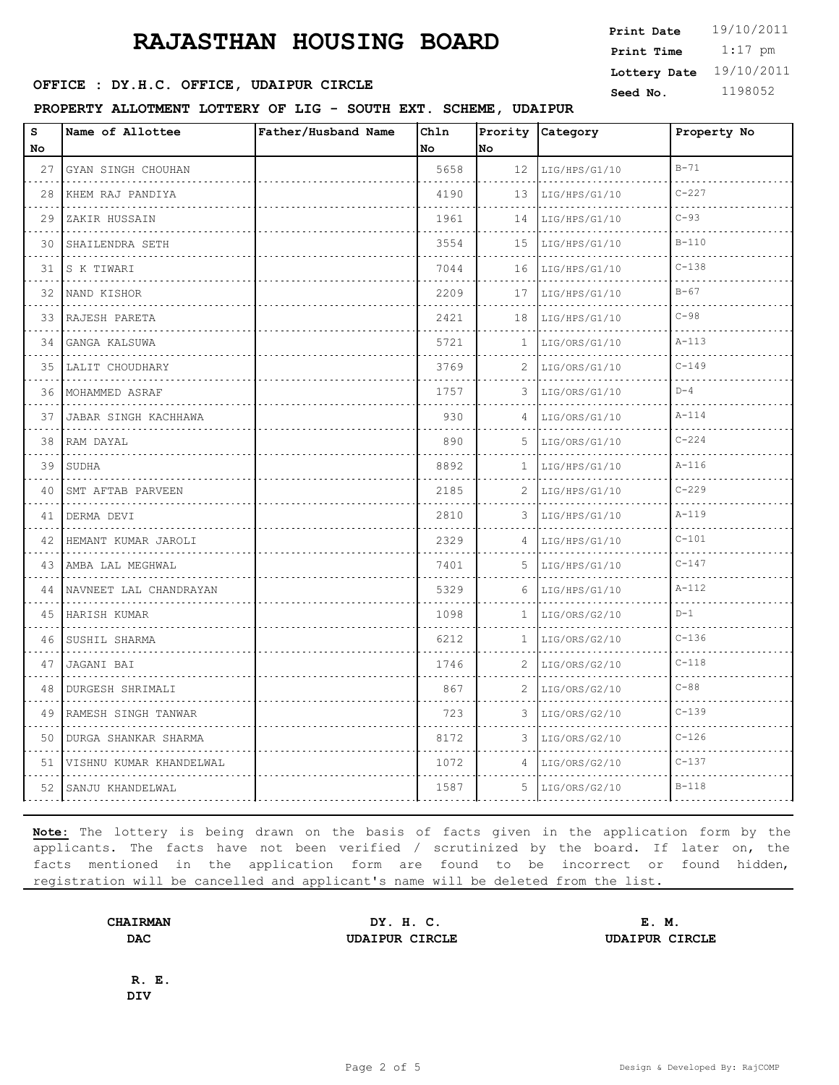## **RAJASTHAN HOUSING BOARD**

 $\mathbf{r}$ 

### PROPERTY ALLOTMENT LOTTERY OF LIG - SOUTH EXT.

|                                         | www.news.communications.com                            |                     | Print Time | $1:17$ pm |                  |  |                         |
|-----------------------------------------|--------------------------------------------------------|---------------------|------------|-----------|------------------|--|-------------------------|
|                                         |                                                        |                     |            |           |                  |  | Lottery Date 19/10/2011 |
| OFFICE : DY.H.C. OFFICE, UDAIPUR CIRCLE |                                                        |                     |            |           |                  |  | 1198052                 |
|                                         | PROPERTY ALLOTMENT LOTTERY OF LIG - SOUTH EXT. SCHEME, |                     |            |           | <b>UDAIPUR</b>   |  |                         |
|                                         | Name of Allottee                                       | Father/Husband Name | IChln      |           | Prority Category |  | Property No             |

**Print Date**  $19/10/2011$ 

| s<br>No | Name of Allottee         | Father/Husband Name | Ch1n<br>No. | No           | Prority Category   | Property No |
|---------|--------------------------|---------------------|-------------|--------------|--------------------|-------------|
| 27      | GYAN SINGH CHOUHAN       |                     | 5658        |              | $12$ LIG/HPS/G1/10 | $B - 71$    |
| 28      | KHEM RAJ PANDIYA<br>.    |                     | 4190        | 13           | LIG/HPS/G1/10      | $C - 227$   |
| 29      | ZAKIR HUSSAIN            |                     | 1961        | 14           | LIG/HPS/G1/10      | $C-93$      |
| 30      | SHAILENDRA SETH          |                     | 3554        | 15           | LIG/HPS/G1/10      | $B-110$     |
| 31      | S K TIWARI               |                     | 7044        | 16           | LIG/HPS/G1/10      | $C - 138$   |
| 32      | NAND KISHOR              |                     | 2209        | ----<br>17   | LIG/HPS/G1/10      | $B-67$      |
| 33      | RAJESH PARETA            |                     | 2421        | 18           | LIG/HPS/G1/10      | $C-98$      |
| 34      | GANGA KALSUWA<br>.       |                     | 5721        | $\mathbf{1}$ | LIG/ORS/G1/10      | $A - 113$   |
| 35      | LALIT CHOUDHARY          |                     | 3769        | 2            | LIG/ORS/G1/10      | $C - 149$   |
| 36      | MOHAMMED ASRAF           |                     | 1757        | 3            | LIG/ORS/G1/10      | $D-4$       |
| 37      | JABAR SINGH KACHHAWA     |                     | 930         | 4            | LIG/ORS/G1/10      | $A - 114$   |
| 38      | RAM DAYAL                |                     | 890         | 5            | LIG/ORS/G1/10      | $C - 224$   |
| 39      | SUDHA                    |                     | 8892        | 1            | LIG/HPS/G1/10      | $A-116$     |
| 40      | SMT AFTAB PARVEEN        |                     | 2185        | 2            | LIG/HPS/G1/10      | $C - 229$   |
|         | 41   DERMA DEVI<br>.     |                     | 2810        | 3            | LIG/HPS/G1/10      | $A - 119$   |
| 42      | HEMANT KUMAR JAROLI<br>. |                     | 2329        | 4            | LIG/HPS/G1/10      | $C - 101$   |
|         | 43   AMBA LAL MEGHWAL    |                     | 7401        | 5            | LIG/HPS/G1/10      | $C - 147$   |
| 44      | NAVNEET LAL CHANDRAYAN   |                     | 5329        | 6            | LIG/HPS/G1/10      | $A - 112$   |
| 45      | HARISH KUMAR<br>.        |                     | 1098        | 1            | LIG/ORS/G2/10      | $D-1$       |
| 46      | SUSHIL SHARMA            |                     | 6212        | $\mathbf{1}$ | LIG/ORS/G2/10      | $C - 136$   |
| 47      | JAGANI BAI               |                     | 1746        | 2            | LIG/ORS/G2/10      | $C-118$     |
| 48      | DURGESH SHRIMALI         |                     | 867         | 2            | LIG/ORS/G2/10      | $C-88$      |
| 49      | RAMESH SINGH TANWAR      |                     | 723         | 3            | LIG/ORS/G2/10      | $C - 139$   |
| 50      | DURGA SHANKAR SHARMA     |                     | 8172        | 3            | LIG/ORS/G2/10      | $C - 126$   |
| 51      | VISHNU KUMAR KHANDELWAL  |                     | 1072        | 4            | LIG/ORS/G2/10      | $C - 137$   |
|         | 52 SANJU KHANDELWAL      |                     | 1587        | 5            | LIG/ORS/G2/10      | $B-118$     |

**Note:** The lottery is being drawn on the basis of facts given in the application form by the applicants. The facts have not been verified / scrutinized by the board. If later on, the facts mentioned in the application form are found to be incorrect or found hidden, registration will be cancelled and applicant's name will be deleted from the list.

**CHAIRMAN DY. H. C. E. M. DAC UDAIPUR CIRCLE UDAIPUR CIRCLE**

**R. E. DIV**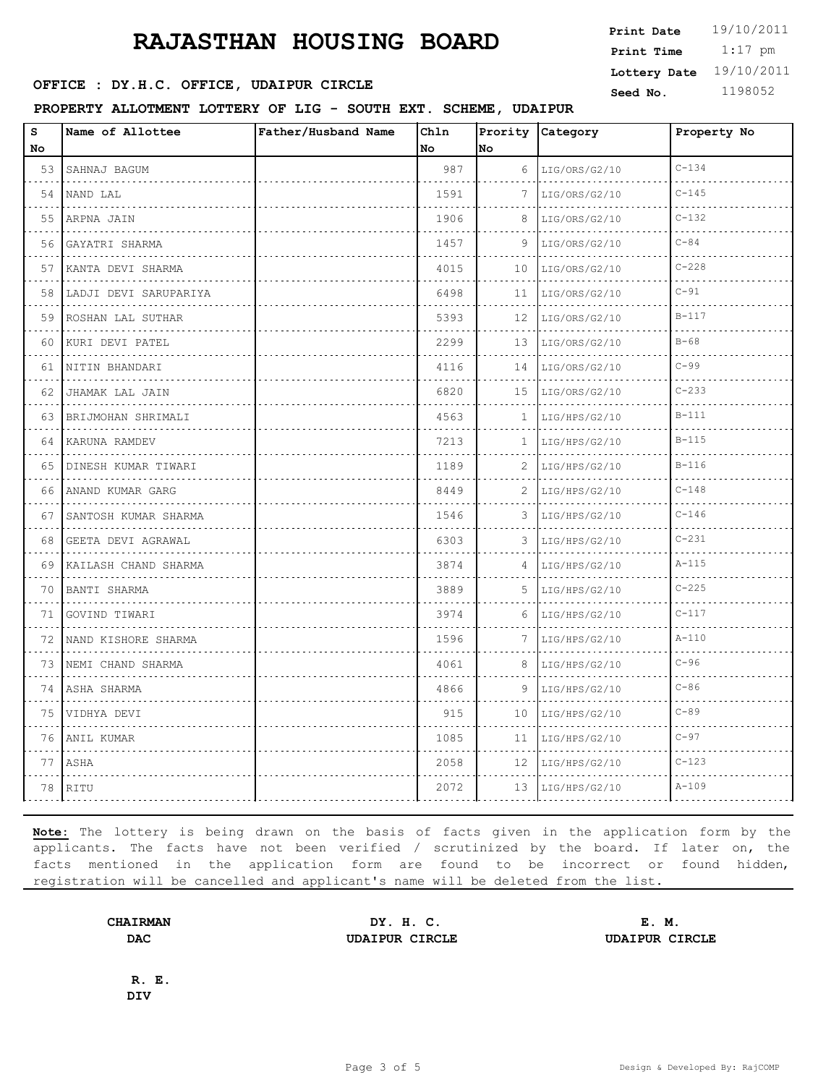## **RAJASTHAN HOUSING BOARD**

**SEED IN SEED ASSESSED SEED ASSESSED ASSESSED ASSESSED ASSESSED ASSESSED ASSESSED ASSESSED ASSESSED ASSESSED ASSESSED ASSESSED ASSESSED ASSESSED ASSESSED ASSESSED ASSESSED ASSESSED ASSESSED ASSESSED ASSESSED ASSESSED ASSES** 

**PROPERTY ALLOTMENT LOTTERY OF LIG - SOUTH EXT. SCHEME, UDAIPUR**

| $\bf s$ | Name of Allottee          | Father/Husband Name | Chln |    | Prority Category | Property No |
|---------|---------------------------|---------------------|------|----|------------------|-------------|
| No      |                           |                     | No   | No |                  |             |
| 53      | SAHNAJ BAGUM              |                     | 987  | 6  | LIG/ORS/G2/10    | $C - 134$   |
| 54      | NAND LAL                  |                     | 1591 | 7  | LIG/ORS/G2/10    | $C - 145$   |
| 55      | ARPNA JAIN                |                     | 1906 | 8  | LIG/ORS/G2/10    | $C - 132$   |
| 56      | GAYATRI SHARMA<br>.       |                     | 1457 | 9  | LIG/ORS/G2/10    | $C-84$      |
| 57      | KANTA DEVI SHARMA         |                     | 4015 | 10 | LIG/ORS/G2/10    | $C - 228$   |
| 58      | LADJI DEVI SARUPARIYA     |                     | 6498 | 11 | LIG/ORS/G2/10    | $C-91$      |
| 59      | ROSHAN LAL SUTHAR<br>.    |                     | 5393 | 12 | LIG/ORS/G2/10    | $B - 117$   |
| 60      | KURI DEVI PATEL           |                     | 2299 | 13 | LIG/ORS/G2/10    | $B-68$      |
| 61      | NITIN BHANDARI            |                     | 4116 | 14 | LIG/ORS/G2/10    | $C-99$      |
| 62      | JHAMAK LAL JAIN<br>.      |                     | 6820 | 15 | LIG/ORS/G2/10    | $C - 233$   |
| 63.     | BRIJMOHAN SHRIMALI        |                     | 4563 | 1  | LIG/HPS/G2/10    | $B-111$     |
| 64      | KARUNA RAMDEV             |                     | 7213 | 1  | LIG/HPS/G2/10    | $B-115$     |
| 65      | DINESH KUMAR TIWARI<br>.  |                     | 1189 | 2  | LIG/HPS/G2/10    | $B-116$     |
| 66      | ANAND KUMAR GARG          |                     | 8449 | 2  | LIG/HPS/G2/10    | $C - 148$   |
| 67      | SANTOSH KUMAR SHARMA<br>. |                     | 1546 | 3  | LIG/HPS/G2/10    | $C - 146$   |
| 68      | GEETA DEVI AGRAWAL<br>.   |                     | 6303 | 3  | LIG/HPS/G2/10    | $C - 231$   |
| 69      | KAILASH CHAND SHARMA      |                     | 3874 | 4  | LIG/HPS/G2/10    | $A - 115$   |
| 70      | BANTI SHARMA<br>.         |                     | 3889 | 5  | LIG/HPS/G2/10    | $C - 225$   |
| 71      | GOVIND TIWARI<br>.        |                     | 3974 | 6  | LIG/HPS/G2/10    | $C - 117$   |
| 72      | NAND KISHORE SHARMA       |                     | 1596 | 7  | LIG/HPS/G2/10    | $A - 110$   |
| 73      | NEMI CHAND SHARMA         |                     | 4061 | 8  | LIG/HPS/G2/10    | $C-96$      |
| 74      | ASHA SHARMA               |                     | 4866 | 9  | LIG/HPS/G2/10    | $C-86$      |
| 75      | VIDHYA DEVI               |                     | 915  | 10 | LIG/HPS/G2/10    | $C-89$      |
| 76      | ANIL KUMAR                |                     | 1085 | 11 | LIG/HPS/G2/10    | $C-97$      |
| 77      | ASHA                      |                     | 2058 | 12 | LIG/HPS/G2/10    | $C - 123$   |
| 78      | RITU                      |                     | 2072 | 13 | LIG/HPS/G2/10    | $A - 109$   |

**Note:** The lottery is being drawn on the basis of facts given in the application form by the applicants. The facts have not been verified / scrutinized by the board. If later on, the facts mentioned in the application form are found to be incorrect or found hidden, registration will be cancelled and applicant's name will be deleted from the list.

**CHAIRMAN DY. H. C. E. M. DAC UDAIPUR CIRCLE UDAIPUR CIRCLE**

**R. E. DIV**

 1:17 pm **Print Date**  $19/10/2011$ **Print Time Lottery Date** 19/10/2011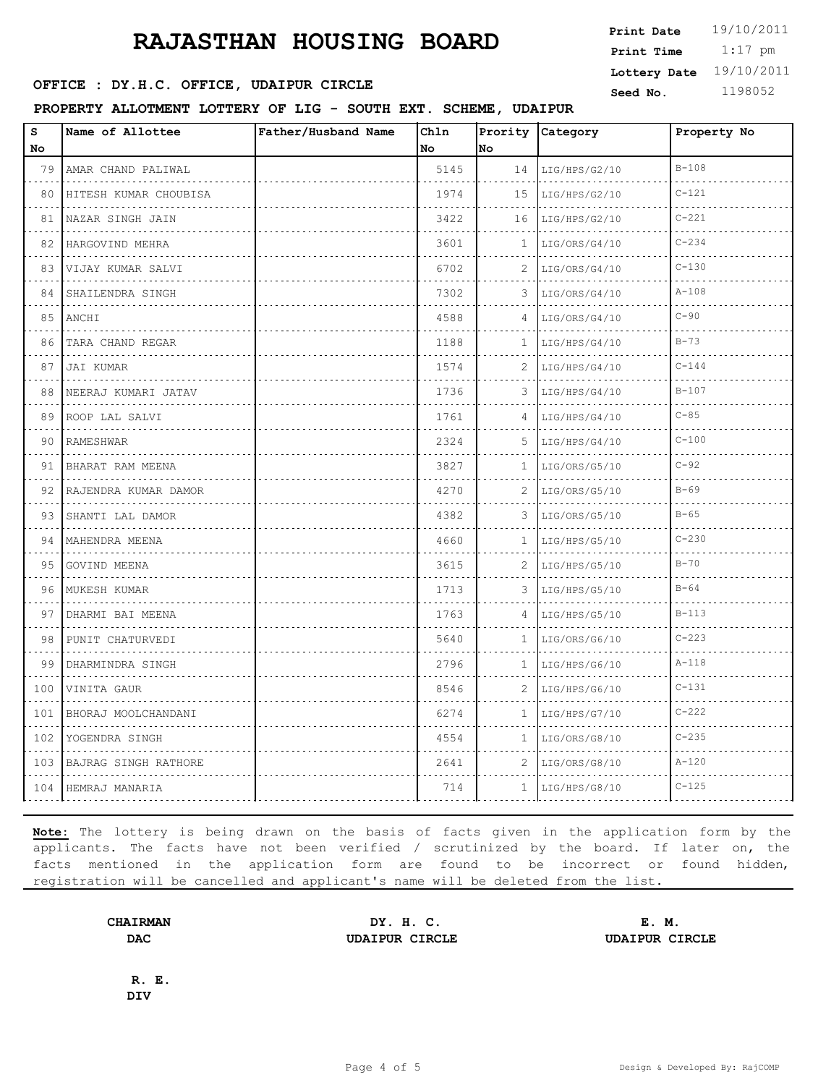# **RAJASTHAN HOUSING BOARD** Frint Pate 19/10/2011

**SEED : DY.H.C. OFFICE, UDAIPUR CIRCLE** Seed No. 1198052

### **PROPERTY ALLOTMENT LOTTERY OF LIG - SOUTH EXT. SCHEME, UDAIPUR**

| Print Date              | 19/10/2011 |
|-------------------------|------------|
| Print Time              | $1:17$ pm  |
| Lottery Date 19/10/2011 |            |
|                         |            |

| $\bf s$<br>No.                                                                                                                             | Name of Allottee             | Father/Husband Name | Ch1n<br>No | No           | Prority Category   | Property No |
|--------------------------------------------------------------------------------------------------------------------------------------------|------------------------------|---------------------|------------|--------------|--------------------|-------------|
| 79                                                                                                                                         | AMAR CHAND PALIWAL<br>.      |                     | 5145       | 14           | LIG/HPS/G2/10      | $B - 108$   |
| 80                                                                                                                                         | HITESH KUMAR CHOUBISA        |                     | 1974       | 15           | LIG/HPS/G2/10      | $C - 121$   |
| 81                                                                                                                                         | NAZAR SINGH JAIN             |                     | 3422       | 16           | LIG/HPS/G2/10      | $C - 221$   |
| 82                                                                                                                                         | .<br>HARGOVIND MEHRA         |                     | 3601       | 1            | LIG/ORS/G4/10      | $C - 234$   |
| 83                                                                                                                                         | VIJAY KUMAR SALVI            |                     | 6702       | 2            | LIG/ORS/G4/10      | $C - 130$   |
| 84                                                                                                                                         | SHAILENDRA SINGH             |                     | 7302       | 3            | LIG/ORS/G4/10      | $A - 108$   |
| 85                                                                                                                                         | ANCHI                        |                     | 4588       | 4            | LIG/ORS/G4/10      | $C-90$      |
| 86                                                                                                                                         | TARA CHAND REGAR             |                     | 1188       | 1.           | LIG/HPS/G4/10      | $B - 73$    |
| 87                                                                                                                                         | JAI KUMAR                    |                     | 1574       | 2            | LIG/HPS/G4/10      | $C - 144$   |
| 88                                                                                                                                         | NEERAJ KUMARI JATAV          |                     | 1736       | 3            | LIG/HPS/G4/10      | $B-107$     |
| 89                                                                                                                                         | ROOP LAL SALVI               |                     | 1761       | 4            | LIG/HPS/G4/10      | $C - 85$    |
| 90                                                                                                                                         | RAMESHWAR                    |                     | 2324       | .5.          | LIG/HPS/G4/10      | $C - 100$   |
| 91                                                                                                                                         | BHARAT RAM MEENA<br>.        |                     | 3827       | 1            | LIG/ORS/G5/10      | $C-92$      |
| 92                                                                                                                                         | RAJENDRA KUMAR DAMOR         |                     | 4270       | 2            | LIG/ORS/G5/10      | $B-69$      |
| 93                                                                                                                                         | SHANTI LAL DAMOR<br>.        |                     | 4382       | 3            | LIG/ORS/G5/10      | $B-65$      |
| 94                                                                                                                                         | MAHENDRA MEENA<br>. <b>.</b> |                     | 4660       | 1            | LIG/HPS/G5/10<br>. | $C - 230$   |
| 95                                                                                                                                         | GOVIND MEENA                 |                     | 3615       | 2            | LIG/HPS/G5/10      | $B-70$      |
| 96                                                                                                                                         | MUKESH KUMAR                 |                     | 1713       | 3            | LIG/HPS/G5/10      | $B - 64$    |
| 97                                                                                                                                         | DHARMI BAI MEENA             |                     | 1763       | 4            | LIG/HPS/G5/10      | $B-113$     |
| 98                                                                                                                                         | PUNIT CHATURVEDI             |                     | 5640       | $\mathbf{1}$ | LIG/ORS/G6/10      | $C - 223$   |
| 99<br>$\mathcal{L}^{\mathcal{A}}\left( \mathcal{A}^{\mathcal{A}}\right) =\mathcal{L}^{\mathcal{A}}\left( \mathcal{A}^{\mathcal{A}}\right)$ | DHARMINDRA SINGH             |                     | 2796       | 1            | LIG/HPS/G6/10      | $A - 118$   |
| 100                                                                                                                                        | VINITA GAUR                  |                     | 8546       | 2            | LIG/HPS/G6/10      | $C - 131$   |
| 101<br>د د د د                                                                                                                             | BHORAJ MOOLCHANDANI          |                     | 6274       | $\mathbf{1}$ | LIG/HPS/G7/10      | $C - 222$   |
| 102<br>.                                                                                                                                   | YOGENDRA SINGH               |                     | 4554       | $\mathbf{1}$ | LIG/ORS/G8/10      | $C - 235$   |
| 103                                                                                                                                        | BAJRAG SINGH RATHORE         |                     | 2641       | 2            | LIG/ORS/G8/10      | $A - 120$   |
|                                                                                                                                            | 104   HEMRAJ MANARIA         |                     | 714        | $\mathbf{1}$ | LIG/HPS/G8/10      | $C - 125$   |
|                                                                                                                                            |                              |                     |            |              |                    |             |

**Note:** The lottery is being drawn on the basis of facts given in the application form by the applicants. The facts have not been verified / scrutinized by the board. If later on, the facts mentioned in the application form are found to be incorrect or found hidden, registration will be cancelled and applicant's name will be deleted from the list.

**CHAIRMAN DY. H. C. E. M. DAC UDAIPUR CIRCLE UDAIPUR CIRCLE**

**R. E. DIV**